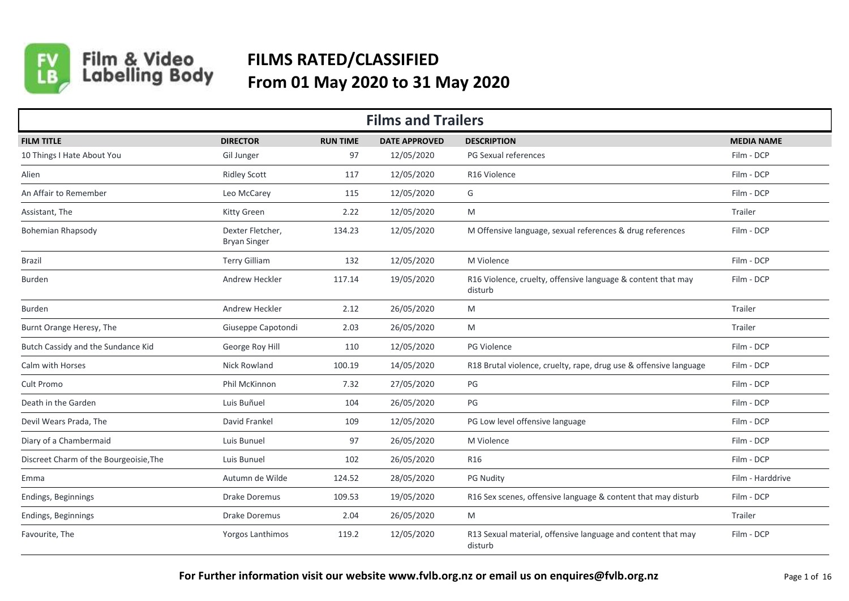

## Film & Video<br>Labelling Body

## **FILMS RATED/CLASSIFIED From 01 May 2020 to 31 May 2020**

| <b>Films and Trailers</b>              |                                         |                 |                      |                                                                         |                   |  |  |
|----------------------------------------|-----------------------------------------|-----------------|----------------------|-------------------------------------------------------------------------|-------------------|--|--|
| <b>FILM TITLE</b>                      | <b>DIRECTOR</b>                         | <b>RUN TIME</b> | <b>DATE APPROVED</b> | <b>DESCRIPTION</b>                                                      | <b>MEDIA NAME</b> |  |  |
| 10 Things I Hate About You             | Gil Junger                              | 97              | 12/05/2020           | PG Sexual references                                                    | Film - DCP        |  |  |
| Alien                                  | <b>Ridley Scott</b>                     | 117             | 12/05/2020           | R16 Violence                                                            | Film - DCP        |  |  |
| An Affair to Remember                  | Leo McCarey                             | 115             | 12/05/2020           | G                                                                       | Film - DCP        |  |  |
| Assistant, The                         | Kitty Green                             | 2.22            | 12/05/2020           | M                                                                       | <b>Trailer</b>    |  |  |
| <b>Bohemian Rhapsody</b>               | Dexter Fletcher,<br><b>Bryan Singer</b> | 134.23          | 12/05/2020           | M Offensive language, sexual references & drug references               | Film - DCP        |  |  |
| Brazil                                 | <b>Terry Gilliam</b>                    | 132             | 12/05/2020           | M Violence                                                              | Film - DCP        |  |  |
| <b>Burden</b>                          | Andrew Heckler                          | 117.14          | 19/05/2020           | R16 Violence, cruelty, offensive language & content that may<br>disturb | Film - DCP        |  |  |
| <b>Burden</b>                          | Andrew Heckler                          | 2.12            | 26/05/2020           | M                                                                       | Trailer           |  |  |
| Burnt Orange Heresy, The               | Giuseppe Capotondi                      | 2.03            | 26/05/2020           | M                                                                       | Trailer           |  |  |
| Butch Cassidy and the Sundance Kid     | George Roy Hill                         | 110             | 12/05/2020           | PG Violence                                                             | Film - DCP        |  |  |
| Calm with Horses                       | Nick Rowland                            | 100.19          | 14/05/2020           | R18 Brutal violence, cruelty, rape, drug use & offensive language       | Film - DCP        |  |  |
| Cult Promo                             | Phil McKinnon                           | 7.32            | 27/05/2020           | PG                                                                      | Film - DCP        |  |  |
| Death in the Garden                    | Luis Buñuel                             | 104             | 26/05/2020           | PG                                                                      | Film - DCP        |  |  |
| Devil Wears Prada, The                 | David Frankel                           | 109             | 12/05/2020           | PG Low level offensive language                                         | Film - DCP        |  |  |
| Diary of a Chambermaid                 | Luis Bunuel                             | 97              | 26/05/2020           | M Violence                                                              | Film - DCP        |  |  |
| Discreet Charm of the Bourgeoisie, The | Luis Bunuel                             | 102             | 26/05/2020           | R <sub>16</sub>                                                         | Film - DCP        |  |  |
| Emma                                   | Autumn de Wilde                         | 124.52          | 28/05/2020           | <b>PG Nudity</b>                                                        | Film - Harddrive  |  |  |
| Endings, Beginnings                    | Drake Doremus                           | 109.53          | 19/05/2020           | R16 Sex scenes, offensive language & content that may disturb           | Film - DCP        |  |  |
| Endings, Beginnings                    | Drake Doremus                           | 2.04            | 26/05/2020           | M                                                                       | Trailer           |  |  |
| Favourite, The                         | Yorgos Lanthimos                        | 119.2           | 12/05/2020           | R13 Sexual material, offensive language and content that may<br>disturb | Film - DCP        |  |  |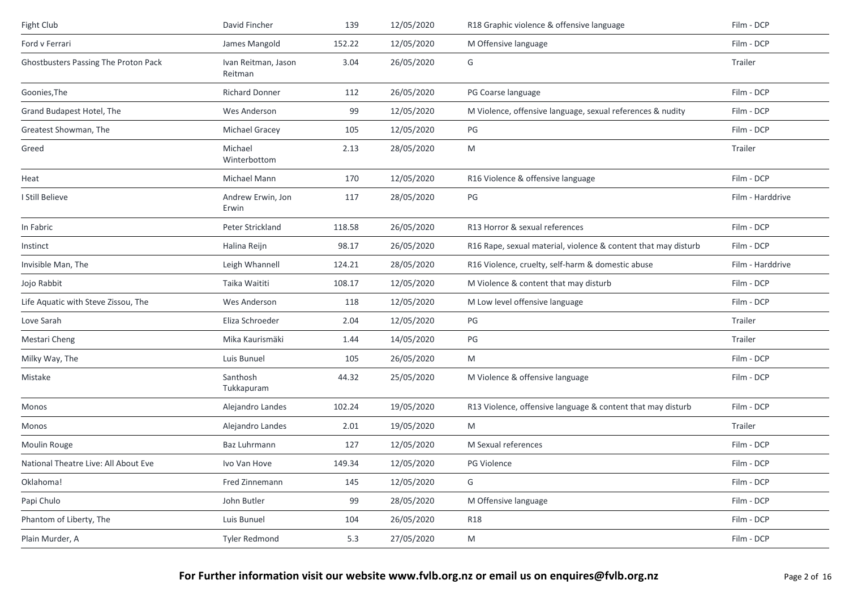| Fight Club                           | David Fincher                  | 139    | 12/05/2020 | R18 Graphic violence & offensive language                      | Film - DCP       |
|--------------------------------------|--------------------------------|--------|------------|----------------------------------------------------------------|------------------|
| Ford v Ferrari                       | James Mangold                  | 152.22 | 12/05/2020 | M Offensive language                                           | Film - DCP       |
| Ghostbusters Passing The Proton Pack | Ivan Reitman, Jason<br>Reitman | 3.04   | 26/05/2020 | G                                                              | Trailer          |
| Goonies, The                         | <b>Richard Donner</b>          | 112    | 26/05/2020 | PG Coarse language                                             | Film - DCP       |
| Grand Budapest Hotel, The            | Wes Anderson                   | 99     | 12/05/2020 | M Violence, offensive language, sexual references & nudity     | Film - DCP       |
| Greatest Showman, The                | Michael Gracey                 | 105    | 12/05/2020 | PG                                                             | Film - DCP       |
| Greed                                | Michael<br>Winterbottom        | 2.13   | 28/05/2020 | M                                                              | Trailer          |
| Heat                                 | Michael Mann                   | 170    | 12/05/2020 | R16 Violence & offensive language                              | Film - DCP       |
| I Still Believe                      | Andrew Erwin, Jon<br>Erwin     | 117    | 28/05/2020 | PG                                                             | Film - Harddrive |
| In Fabric                            | Peter Strickland               | 118.58 | 26/05/2020 | R13 Horror & sexual references                                 | Film - DCP       |
| Instinct                             | Halina Reijn                   | 98.17  | 26/05/2020 | R16 Rape, sexual material, violence & content that may disturb | Film - DCP       |
| Invisible Man, The                   | Leigh Whannell                 | 124.21 | 28/05/2020 | R16 Violence, cruelty, self-harm & domestic abuse              | Film - Harddrive |
| Jojo Rabbit                          | Taika Waititi                  | 108.17 | 12/05/2020 | M Violence & content that may disturb                          | Film - DCP       |
| Life Aquatic with Steve Zissou, The  | Wes Anderson                   | 118    | 12/05/2020 | M Low level offensive language                                 | Film - DCP       |
| Love Sarah                           | Eliza Schroeder                | 2.04   | 12/05/2020 | PG                                                             | Trailer          |
| Mestari Cheng                        | Mika Kaurismäki                | 1.44   | 14/05/2020 | PG                                                             | Trailer          |
| Milky Way, The                       | Luis Bunuel                    | 105    | 26/05/2020 | M                                                              | Film - DCP       |
| Mistake                              | Santhosh<br>Tukkapuram         | 44.32  | 25/05/2020 | M Violence & offensive language                                | Film - DCP       |
| Monos                                | Alejandro Landes               | 102.24 | 19/05/2020 | R13 Violence, offensive language & content that may disturb    | Film - DCP       |
| Monos                                | Alejandro Landes               | 2.01   | 19/05/2020 | M                                                              | Trailer          |
| Moulin Rouge                         | Baz Luhrmann                   | 127    | 12/05/2020 | M Sexual references                                            | Film - DCP       |
| National Theatre Live: All About Eve | Ivo Van Hove                   | 149.34 | 12/05/2020 | PG Violence                                                    | Film - DCP       |
| Oklahoma!                            | Fred Zinnemann                 | 145    | 12/05/2020 | G                                                              | Film - DCP       |
| Papi Chulo                           | John Butler                    | 99     | 28/05/2020 | M Offensive language                                           | Film - DCP       |
| Phantom of Liberty, The              | Luis Bunuel                    | 104    | 26/05/2020 | <b>R18</b>                                                     | Film - DCP       |
| Plain Murder, A                      | <b>Tyler Redmond</b>           | 5.3    | 27/05/2020 | ${\sf M}$                                                      | Film - DCP       |
|                                      |                                |        |            |                                                                |                  |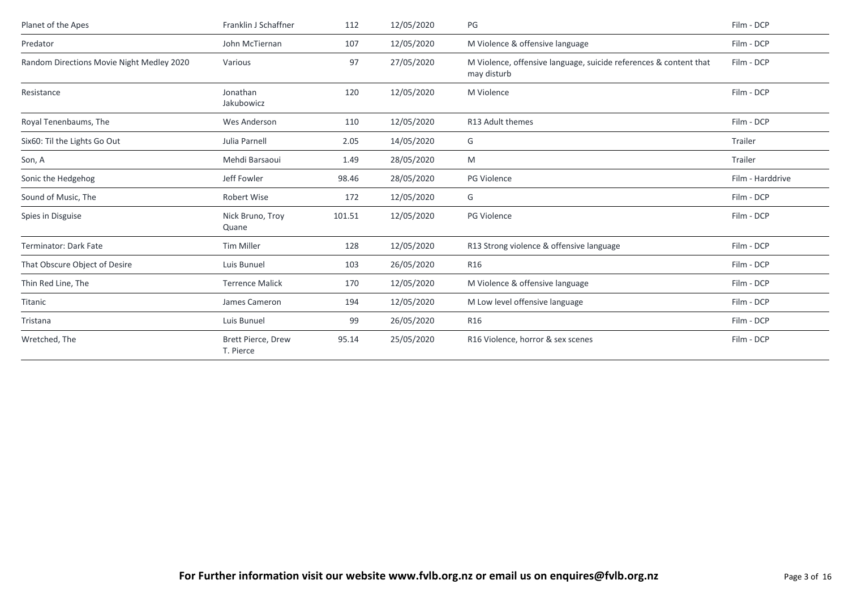| Planet of the Apes                        | Franklin J Schaffner            | 112    | 12/05/2020 | PG                                                                               | Film - DCP       |
|-------------------------------------------|---------------------------------|--------|------------|----------------------------------------------------------------------------------|------------------|
| Predator                                  | John McTiernan                  | 107    | 12/05/2020 | M Violence & offensive language                                                  | Film - DCP       |
| Random Directions Movie Night Medley 2020 | Various                         | 97     | 27/05/2020 | M Violence, offensive language, suicide references & content that<br>may disturb | Film - DCP       |
| Resistance                                | Jonathan<br>Jakubowicz          | 120    | 12/05/2020 | M Violence                                                                       | Film - DCP       |
| Royal Tenenbaums, The                     | Wes Anderson                    | 110    | 12/05/2020 | R13 Adult themes                                                                 | Film - DCP       |
| Six60: Til the Lights Go Out              | Julia Parnell                   | 2.05   | 14/05/2020 | G                                                                                | Trailer          |
| Son, A                                    | Mehdi Barsaoui                  | 1.49   | 28/05/2020 | M                                                                                | Trailer          |
| Sonic the Hedgehog                        | Jeff Fowler                     | 98.46  | 28/05/2020 | <b>PG Violence</b>                                                               | Film - Harddrive |
| Sound of Music, The                       | Robert Wise                     | 172    | 12/05/2020 | G                                                                                | Film - DCP       |
| Spies in Disguise                         | Nick Bruno, Troy<br>Quane       | 101.51 | 12/05/2020 | PG Violence                                                                      | Film - DCP       |
| Terminator: Dark Fate                     | Tim Miller                      | 128    | 12/05/2020 | R13 Strong violence & offensive language                                         | Film - DCP       |
| That Obscure Object of Desire             | Luis Bunuel                     | 103    | 26/05/2020 | R <sub>16</sub>                                                                  | Film - DCP       |
| Thin Red Line, The                        | <b>Terrence Malick</b>          | 170    | 12/05/2020 | M Violence & offensive language                                                  | Film - DCP       |
| Titanic                                   | James Cameron                   | 194    | 12/05/2020 | M Low level offensive language                                                   | Film - DCP       |
| Tristana                                  | Luis Bunuel                     | 99     | 26/05/2020 | R <sub>16</sub>                                                                  | Film - DCP       |
| Wretched, The                             | Brett Pierce, Drew<br>T. Pierce | 95.14  | 25/05/2020 | R16 Violence, horror & sex scenes                                                | Film - DCP       |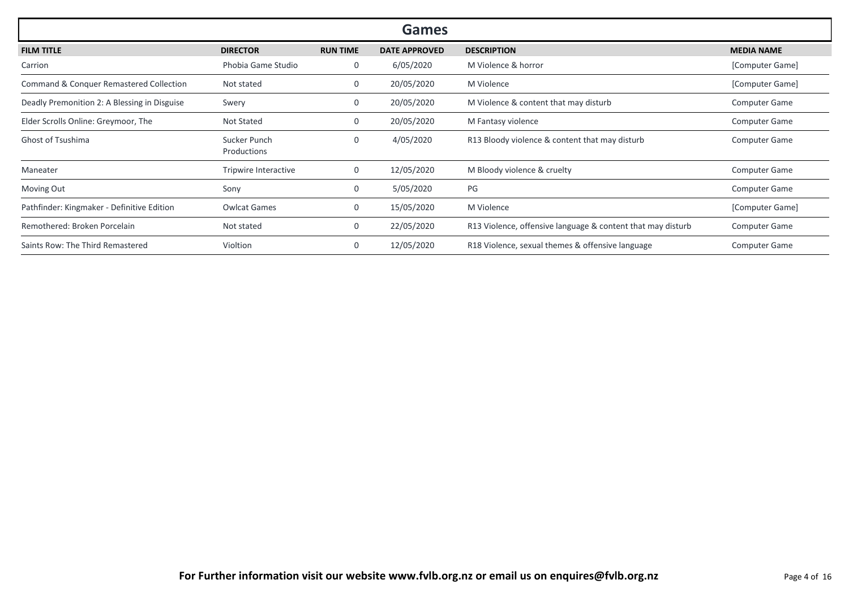|                                                    |                             |                 | <b>Games</b>         |                                                             |                      |
|----------------------------------------------------|-----------------------------|-----------------|----------------------|-------------------------------------------------------------|----------------------|
| <b>FILM TITLE</b>                                  | <b>DIRECTOR</b>             | <b>RUN TIME</b> | <b>DATE APPROVED</b> | <b>DESCRIPTION</b>                                          | <b>MEDIA NAME</b>    |
| Carrion                                            | Phobia Game Studio          | 0               | 6/05/2020            | M Violence & horror                                         | [Computer Game]      |
| <b>Command &amp; Conquer Remastered Collection</b> | Not stated                  | 0               | 20/05/2020           | M Violence                                                  | [Computer Game]      |
| Deadly Premonition 2: A Blessing in Disguise       | Swery                       | 0               | 20/05/2020           | M Violence & content that may disturb                       | <b>Computer Game</b> |
| Elder Scrolls Online: Greymoor, The                | Not Stated                  | 0               | 20/05/2020           | M Fantasy violence                                          | <b>Computer Game</b> |
| Ghost of Tsushima                                  | Sucker Punch<br>Productions | 0               | 4/05/2020            | R13 Bloody violence & content that may disturb              | <b>Computer Game</b> |
| Maneater                                           | Tripwire Interactive        | 0               | 12/05/2020           | M Bloody violence & cruelty                                 | <b>Computer Game</b> |
| Moving Out                                         | Sony                        | 0               | 5/05/2020            | PG                                                          | <b>Computer Game</b> |
| Pathfinder: Kingmaker - Definitive Edition         | <b>Owlcat Games</b>         | 0               | 15/05/2020           | M Violence                                                  | [Computer Game]      |
| Remothered: Broken Porcelain                       | Not stated                  | 0               | 22/05/2020           | R13 Violence, offensive language & content that may disturb | <b>Computer Game</b> |
| Saints Row: The Third Remastered                   | Violtion                    | 0               | 12/05/2020           | R18 Violence, sexual themes & offensive language            | <b>Computer Game</b> |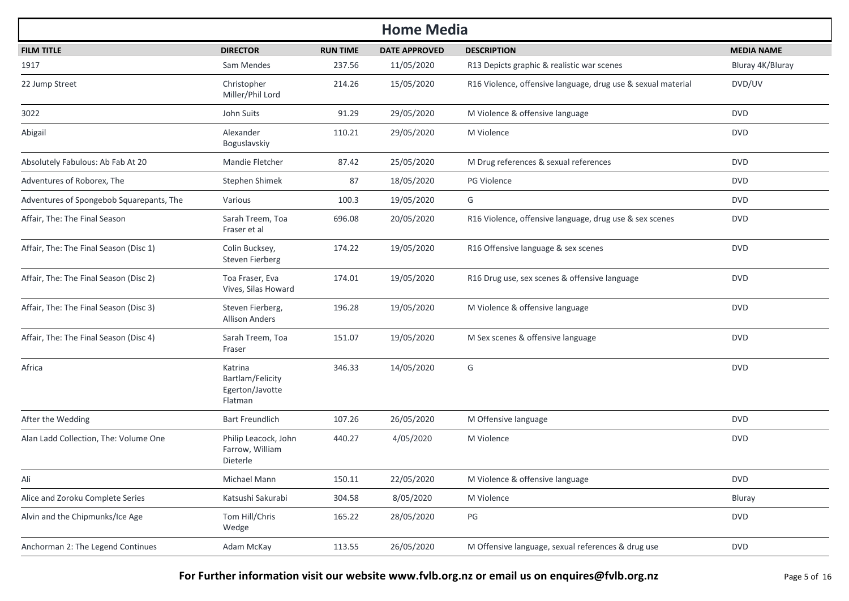| <b>Home Media</b>                        |                                                           |                 |                      |                                                              |                   |  |  |  |
|------------------------------------------|-----------------------------------------------------------|-----------------|----------------------|--------------------------------------------------------------|-------------------|--|--|--|
| <b>FILM TITLE</b>                        | <b>DIRECTOR</b>                                           | <b>RUN TIME</b> | <b>DATE APPROVED</b> | <b>DESCRIPTION</b>                                           | <b>MEDIA NAME</b> |  |  |  |
| 1917                                     | Sam Mendes                                                | 237.56          | 11/05/2020           | R13 Depicts graphic & realistic war scenes                   | Bluray 4K/Bluray  |  |  |  |
| 22 Jump Street                           | Christopher<br>Miller/Phil Lord                           | 214.26          | 15/05/2020           | R16 Violence, offensive language, drug use & sexual material | DVD/UV            |  |  |  |
| 3022                                     | John Suits                                                | 91.29           | 29/05/2020           | M Violence & offensive language                              | <b>DVD</b>        |  |  |  |
| Abigail                                  | Alexander<br>Boguslavskiy                                 | 110.21          | 29/05/2020           | M Violence                                                   | <b>DVD</b>        |  |  |  |
| Absolutely Fabulous: Ab Fab At 20        | Mandie Fletcher                                           | 87.42           | 25/05/2020           | M Drug references & sexual references                        | <b>DVD</b>        |  |  |  |
| Adventures of Roborex, The               | Stephen Shimek                                            | 87              | 18/05/2020           | <b>PG Violence</b>                                           | <b>DVD</b>        |  |  |  |
| Adventures of Spongebob Squarepants, The | Various                                                   | 100.3           | 19/05/2020           | G                                                            | <b>DVD</b>        |  |  |  |
| Affair, The: The Final Season            | Sarah Treem, Toa<br>Fraser et al                          | 696.08          | 20/05/2020           | R16 Violence, offensive language, drug use & sex scenes      | <b>DVD</b>        |  |  |  |
| Affair, The: The Final Season (Disc 1)   | Colin Bucksey,<br>Steven Fierberg                         | 174.22          | 19/05/2020           | R16 Offensive language & sex scenes                          | <b>DVD</b>        |  |  |  |
| Affair, The: The Final Season (Disc 2)   | Toa Fraser, Eva<br>Vives, Silas Howard                    | 174.01          | 19/05/2020           | R16 Drug use, sex scenes & offensive language                | <b>DVD</b>        |  |  |  |
| Affair, The: The Final Season (Disc 3)   | Steven Fierberg,<br><b>Allison Anders</b>                 | 196.28          | 19/05/2020           | M Violence & offensive language                              | <b>DVD</b>        |  |  |  |
| Affair, The: The Final Season (Disc 4)   | Sarah Treem, Toa<br>Fraser                                | 151.07          | 19/05/2020           | M Sex scenes & offensive language                            | <b>DVD</b>        |  |  |  |
| Africa                                   | Katrina<br>Bartlam/Felicity<br>Egerton/Javotte<br>Flatman | 346.33          | 14/05/2020           | G                                                            | <b>DVD</b>        |  |  |  |
| After the Wedding                        | <b>Bart Freundlich</b>                                    | 107.26          | 26/05/2020           | M Offensive language                                         | <b>DVD</b>        |  |  |  |
| Alan Ladd Collection, The: Volume One    | Philip Leacock, John<br>Farrow, William<br>Dieterle       | 440.27          | 4/05/2020            | M Violence                                                   | <b>DVD</b>        |  |  |  |
| Ali                                      | Michael Mann                                              | 150.11          | 22/05/2020           | M Violence & offensive language                              | <b>DVD</b>        |  |  |  |
| Alice and Zoroku Complete Series         | Katsushi Sakurabi                                         | 304.58          | 8/05/2020            | M Violence                                                   | Bluray            |  |  |  |
| Alvin and the Chipmunks/Ice Age          | Tom Hill/Chris<br>Wedge                                   | 165.22          | 28/05/2020           | $\mathsf{PG}$                                                | <b>DVD</b>        |  |  |  |
| Anchorman 2: The Legend Continues        | Adam McKay                                                | 113.55          | 26/05/2020           | M Offensive language, sexual references & drug use           | <b>DVD</b>        |  |  |  |

**For Further information visit our website www.fvlb.org.nz or email us on enquires@fvlb.org.nz** Page 5 of 16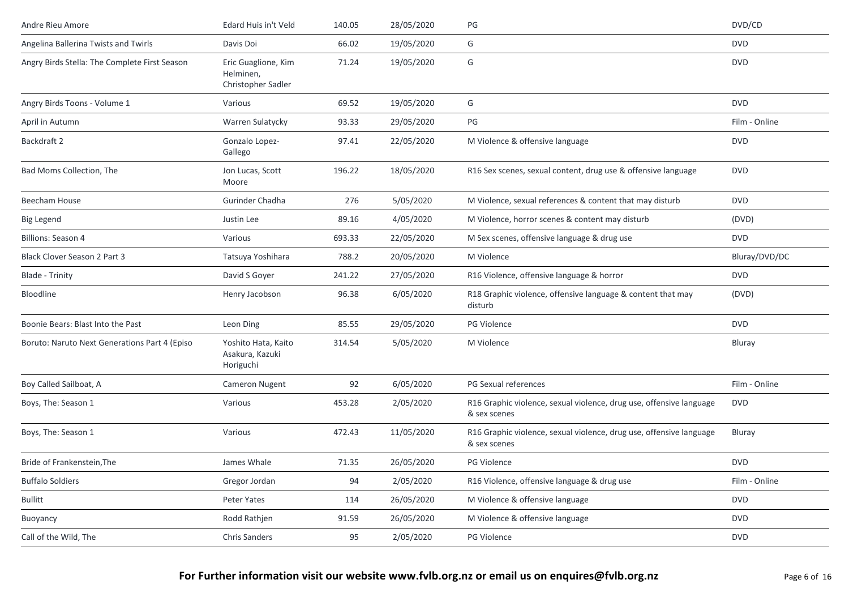| Andre Rieu Amore                              | Edard Huis in't Veld                                   | 140.05 | 28/05/2020 | PG                                                                                  | DVD/CD        |
|-----------------------------------------------|--------------------------------------------------------|--------|------------|-------------------------------------------------------------------------------------|---------------|
| Angelina Ballerina Twists and Twirls          | Davis Doi                                              | 66.02  | 19/05/2020 | G                                                                                   | <b>DVD</b>    |
| Angry Birds Stella: The Complete First Season | Eric Guaglione, Kim<br>Helminen,<br>Christopher Sadler | 71.24  | 19/05/2020 | G                                                                                   | <b>DVD</b>    |
| Angry Birds Toons - Volume 1                  | Various                                                | 69.52  | 19/05/2020 | G                                                                                   | <b>DVD</b>    |
| April in Autumn                               | Warren Sulatycky                                       | 93.33  | 29/05/2020 | PG                                                                                  | Film - Online |
| Backdraft 2                                   | Gonzalo Lopez-<br>Gallego                              | 97.41  | 22/05/2020 | M Violence & offensive language                                                     | <b>DVD</b>    |
| Bad Moms Collection, The                      | Jon Lucas, Scott<br>Moore                              | 196.22 | 18/05/2020 | R16 Sex scenes, sexual content, drug use & offensive language                       | <b>DVD</b>    |
| <b>Beecham House</b>                          | Gurinder Chadha                                        | 276    | 5/05/2020  | M Violence, sexual references & content that may disturb                            | <b>DVD</b>    |
| <b>Big Legend</b>                             | Justin Lee                                             | 89.16  | 4/05/2020  | M Violence, horror scenes & content may disturb                                     | (DVD)         |
| <b>Billions: Season 4</b>                     | Various                                                | 693.33 | 22/05/2020 | M Sex scenes, offensive language & drug use                                         | <b>DVD</b>    |
| <b>Black Clover Season 2 Part 3</b>           | Tatsuya Yoshihara                                      | 788.2  | 20/05/2020 | M Violence                                                                          | Bluray/DVD/DC |
| <b>Blade - Trinity</b>                        | David S Gover                                          | 241.22 | 27/05/2020 | R16 Violence, offensive language & horror                                           | <b>DVD</b>    |
| Bloodline                                     | Henry Jacobson                                         | 96.38  | 6/05/2020  | R18 Graphic violence, offensive language & content that may<br>disturb              | (DVD)         |
| Boonie Bears: Blast Into the Past             | Leon Ding                                              | 85.55  | 29/05/2020 | <b>PG Violence</b>                                                                  | <b>DVD</b>    |
| Boruto: Naruto Next Generations Part 4 (Episo | Yoshito Hata, Kaito<br>Asakura, Kazuki<br>Horiguchi    | 314.54 | 5/05/2020  | M Violence                                                                          | Bluray        |
| Boy Called Sailboat, A                        | <b>Cameron Nugent</b>                                  | 92     | 6/05/2020  | PG Sexual references                                                                | Film - Online |
| Boys, The: Season 1                           | Various                                                | 453.28 | 2/05/2020  | R16 Graphic violence, sexual violence, drug use, offensive language<br>& sex scenes | <b>DVD</b>    |
| Boys, The: Season 1                           | Various                                                | 472.43 | 11/05/2020 | R16 Graphic violence, sexual violence, drug use, offensive language<br>& sex scenes | Bluray        |
| Bride of Frankenstein, The                    | James Whale                                            | 71.35  | 26/05/2020 | PG Violence                                                                         | <b>DVD</b>    |
| <b>Buffalo Soldiers</b>                       | Gregor Jordan                                          | 94     | 2/05/2020  | R16 Violence, offensive language & drug use                                         | Film - Online |
| <b>Bullitt</b>                                | Peter Yates                                            | 114    | 26/05/2020 | M Violence & offensive language                                                     | <b>DVD</b>    |
| Buoyancy                                      | Rodd Rathjen                                           | 91.59  | 26/05/2020 | M Violence & offensive language                                                     | <b>DVD</b>    |
| Call of the Wild, The                         | Chris Sanders                                          | 95     | 2/05/2020  | PG Violence                                                                         | <b>DVD</b>    |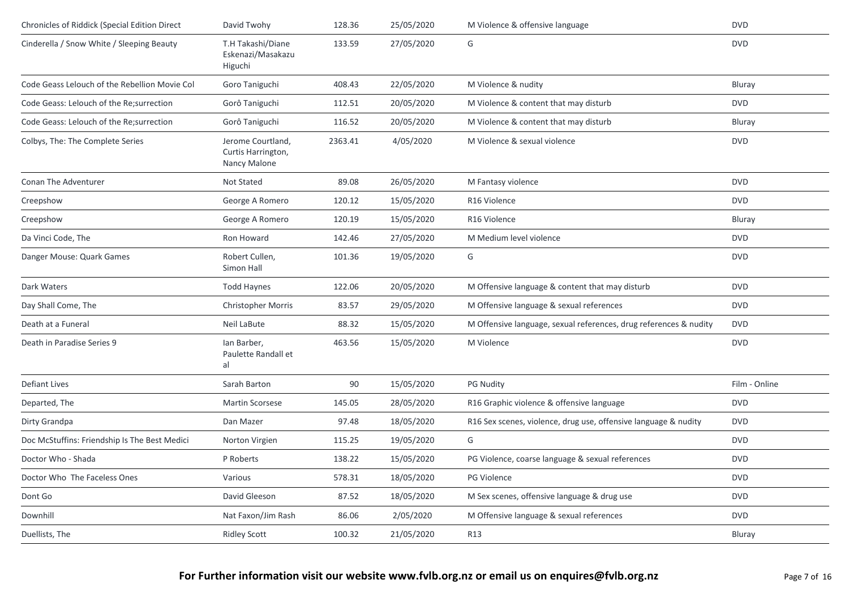| Chronicles of Riddick (Special Edition Direct | David Twohy                                             | 128.36  | 25/05/2020 | M Violence & offensive language                                   | <b>DVD</b>    |
|-----------------------------------------------|---------------------------------------------------------|---------|------------|-------------------------------------------------------------------|---------------|
| Cinderella / Snow White / Sleeping Beauty     | T.H Takashi/Diane<br>Eskenazi/Masakazu<br>Higuchi       | 133.59  | 27/05/2020 | G                                                                 | <b>DVD</b>    |
| Code Geass Lelouch of the Rebellion Movie Col | Goro Taniguchi                                          | 408.43  | 22/05/2020 | M Violence & nudity                                               | Bluray        |
| Code Geass: Lelouch of the Re; surrection     | Gorô Taniguchi                                          | 112.51  | 20/05/2020 | M Violence & content that may disturb                             | <b>DVD</b>    |
| Code Geass: Lelouch of the Re; surrection     | Gorô Taniguchi                                          | 116.52  | 20/05/2020 | M Violence & content that may disturb                             | <b>Bluray</b> |
| Colbys, The: The Complete Series              | Jerome Courtland,<br>Curtis Harrington,<br>Nancy Malone | 2363.41 | 4/05/2020  | M Violence & sexual violence                                      | <b>DVD</b>    |
| Conan The Adventurer                          | Not Stated                                              | 89.08   | 26/05/2020 | M Fantasy violence                                                | <b>DVD</b>    |
| Creepshow                                     | George A Romero                                         | 120.12  | 15/05/2020 | R16 Violence                                                      | <b>DVD</b>    |
| Creepshow                                     | George A Romero                                         | 120.19  | 15/05/2020 | R16 Violence                                                      | <b>Bluray</b> |
| Da Vinci Code, The                            | Ron Howard                                              | 142.46  | 27/05/2020 | M Medium level violence                                           | <b>DVD</b>    |
| Danger Mouse: Quark Games                     | Robert Cullen,<br>Simon Hall                            | 101.36  | 19/05/2020 | G                                                                 | <b>DVD</b>    |
| Dark Waters                                   | <b>Todd Haynes</b>                                      | 122.06  | 20/05/2020 | M Offensive language & content that may disturb                   | <b>DVD</b>    |
| Day Shall Come, The                           | <b>Christopher Morris</b>                               | 83.57   | 29/05/2020 | M Offensive language & sexual references                          | <b>DVD</b>    |
| Death at a Funeral                            | Neil LaBute                                             | 88.32   | 15/05/2020 | M Offensive language, sexual references, drug references & nudity | <b>DVD</b>    |
| Death in Paradise Series 9                    | lan Barber,<br>Paulette Randall et<br>al                | 463.56  | 15/05/2020 | M Violence                                                        | <b>DVD</b>    |
| <b>Defiant Lives</b>                          | Sarah Barton                                            | 90      | 15/05/2020 | <b>PG Nudity</b>                                                  | Film - Online |
| Departed, The                                 | <b>Martin Scorsese</b>                                  | 145.05  | 28/05/2020 | R16 Graphic violence & offensive language                         | <b>DVD</b>    |
| Dirty Grandpa                                 | Dan Mazer                                               | 97.48   | 18/05/2020 | R16 Sex scenes, violence, drug use, offensive language & nudity   | <b>DVD</b>    |
| Doc McStuffins: Friendship Is The Best Medici | Norton Virgien                                          | 115.25  | 19/05/2020 | G                                                                 | <b>DVD</b>    |
| Doctor Who - Shada                            | P Roberts                                               | 138.22  | 15/05/2020 | PG Violence, coarse language & sexual references                  | <b>DVD</b>    |
| Doctor Who The Faceless Ones                  | Various                                                 | 578.31  | 18/05/2020 | PG Violence                                                       | <b>DVD</b>    |
| Dont Go                                       | David Gleeson                                           | 87.52   | 18/05/2020 | M Sex scenes, offensive language & drug use                       | <b>DVD</b>    |
| Downhill                                      | Nat Faxon/Jim Rash                                      | 86.06   | 2/05/2020  | M Offensive language & sexual references                          | <b>DVD</b>    |
| Duellists, The                                | <b>Ridley Scott</b>                                     | 100.32  | 21/05/2020 | R13                                                               | <b>Bluray</b> |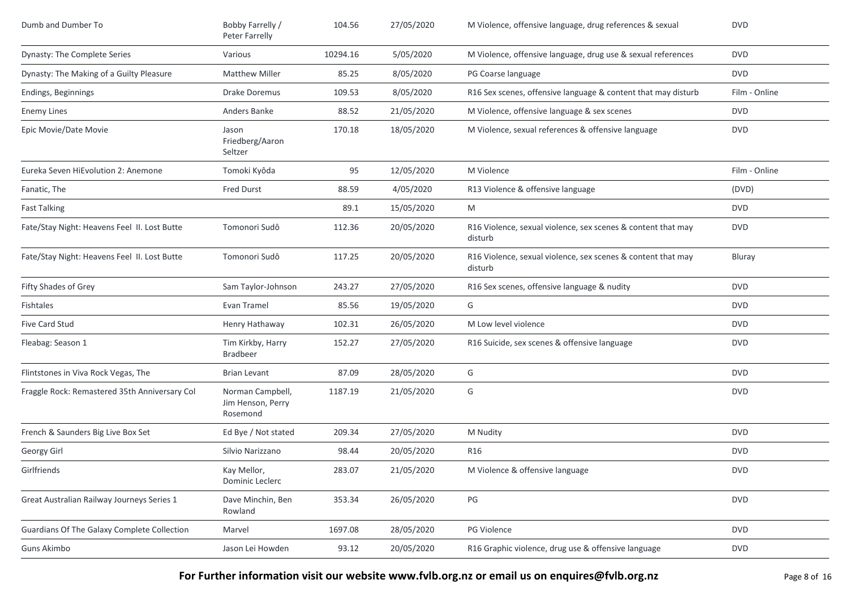| Dumb and Dumber To                            | Bobby Farrelly /<br>Peter Farrelly                | 104.56   | 27/05/2020 | M Violence, offensive language, drug references & sexual                | <b>DVD</b>    |
|-----------------------------------------------|---------------------------------------------------|----------|------------|-------------------------------------------------------------------------|---------------|
| Dynasty: The Complete Series                  | Various                                           | 10294.16 | 5/05/2020  | M Violence, offensive language, drug use & sexual references            | <b>DVD</b>    |
| Dynasty: The Making of a Guilty Pleasure      | <b>Matthew Miller</b>                             | 85.25    | 8/05/2020  | PG Coarse language                                                      | <b>DVD</b>    |
| Endings, Beginnings                           | <b>Drake Doremus</b>                              | 109.53   | 8/05/2020  | R16 Sex scenes, offensive language & content that may disturb           | Film - Online |
| <b>Enemy Lines</b>                            | Anders Banke                                      | 88.52    | 21/05/2020 | M Violence, offensive language & sex scenes                             | <b>DVD</b>    |
| Epic Movie/Date Movie                         | Jason<br>Friedberg/Aaron<br>Seltzer               | 170.18   | 18/05/2020 | M Violence, sexual references & offensive language                      | <b>DVD</b>    |
| Eureka Seven HiEvolution 2: Anemone           | Tomoki Kyôda                                      | 95       | 12/05/2020 | M Violence                                                              | Film - Online |
| Fanatic, The                                  | <b>Fred Durst</b>                                 | 88.59    | 4/05/2020  | R13 Violence & offensive language                                       | (DVD)         |
| <b>Fast Talking</b>                           |                                                   | 89.1     | 15/05/2020 | M                                                                       | <b>DVD</b>    |
| Fate/Stay Night: Heavens Feel II. Lost Butte  | Tomonori Sudô                                     | 112.36   | 20/05/2020 | R16 Violence, sexual violence, sex scenes & content that may<br>disturb | <b>DVD</b>    |
| Fate/Stay Night: Heavens Feel II. Lost Butte  | Tomonori Sudô                                     | 117.25   | 20/05/2020 | R16 Violence, sexual violence, sex scenes & content that may<br>disturb | Bluray        |
| Fifty Shades of Grey                          | Sam Taylor-Johnson                                | 243.27   | 27/05/2020 | R16 Sex scenes, offensive language & nudity                             | <b>DVD</b>    |
| Fishtales                                     | Evan Tramel                                       | 85.56    | 19/05/2020 | G                                                                       | <b>DVD</b>    |
| Five Card Stud                                | Henry Hathaway                                    | 102.31   | 26/05/2020 | M Low level violence                                                    | <b>DVD</b>    |
| Fleabag: Season 1                             | Tim Kirkby, Harry<br><b>Bradbeer</b>              | 152.27   | 27/05/2020 | R16 Suicide, sex scenes & offensive language                            | <b>DVD</b>    |
| Flintstones in Viva Rock Vegas, The           | <b>Brian Levant</b>                               | 87.09    | 28/05/2020 | G                                                                       | <b>DVD</b>    |
| Fraggle Rock: Remastered 35th Anniversary Col | Norman Campbell,<br>Jim Henson, Perry<br>Rosemond | 1187.19  | 21/05/2020 | G                                                                       | <b>DVD</b>    |
| French & Saunders Big Live Box Set            | Ed Bye / Not stated                               | 209.34   | 27/05/2020 | M Nudity                                                                | <b>DVD</b>    |
| Georgy Girl                                   | Silvio Narizzano                                  | 98.44    | 20/05/2020 | R <sub>16</sub>                                                         | <b>DVD</b>    |
| Girlfriends                                   | Kay Mellor,<br>Dominic Leclerc                    | 283.07   | 21/05/2020 | M Violence & offensive language                                         | <b>DVD</b>    |
| Great Australian Railway Journeys Series 1    | Dave Minchin, Ben<br>Rowland                      | 353.34   | 26/05/2020 | PG                                                                      | <b>DVD</b>    |
| Guardians Of The Galaxy Complete Collection   | Marvel                                            | 1697.08  | 28/05/2020 | PG Violence                                                             | <b>DVD</b>    |
| Guns Akimbo                                   | Jason Lei Howden                                  | 93.12    | 20/05/2020 | R16 Graphic violence, drug use & offensive language                     | <b>DVD</b>    |

**For Further information visit our website www.fvlb.org.nz or email us on enquires@fvlb.org.nz** Page 8 of 16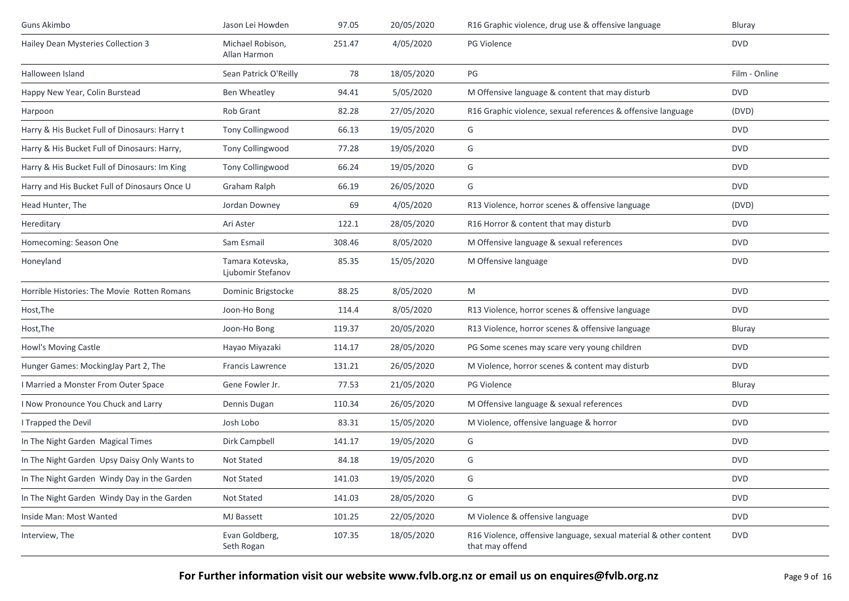| Guns Akimbo                                   | Jason Lei Howden                      | 97.05  | 20/05/2020 | R16 Graphic violence, drug use & offensive language                                  | Bluray        |
|-----------------------------------------------|---------------------------------------|--------|------------|--------------------------------------------------------------------------------------|---------------|
| Hailey Dean Mysteries Collection 3            | Michael Robison,<br>Allan Harmon      | 251.47 | 4/05/2020  | <b>PG Violence</b>                                                                   | <b>DVD</b>    |
| Halloween Island                              | Sean Patrick O'Reilly                 | 78     | 18/05/2020 | PG                                                                                   | Film - Online |
| Happy New Year, Colin Burstead                | Ben Wheatley                          | 94.41  | 5/05/2020  | M Offensive language & content that may disturb                                      | <b>DVD</b>    |
| Harpoon                                       | Rob Grant                             | 82.28  | 27/05/2020 | R16 Graphic violence, sexual references & offensive language                         | (DVD)         |
| Harry & His Bucket Full of Dinosaurs: Harry t | Tony Collingwood                      | 66.13  | 19/05/2020 | G                                                                                    | <b>DVD</b>    |
| Harry & His Bucket Full of Dinosaurs: Harry,  | Tony Collingwood                      | 77.28  | 19/05/2020 | G                                                                                    | <b>DVD</b>    |
| Harry & His Bucket Full of Dinosaurs: Im King | Tony Collingwood                      | 66.24  | 19/05/2020 | G                                                                                    | <b>DVD</b>    |
| Harry and His Bucket Full of Dinosaurs Once U | Graham Ralph                          | 66.19  | 26/05/2020 | G                                                                                    | <b>DVD</b>    |
| Head Hunter, The                              | Jordan Downey                         | 69     | 4/05/2020  | R13 Violence, horror scenes & offensive language                                     | (DVD)         |
| Hereditary                                    | Ari Aster                             | 122.1  | 28/05/2020 | R16 Horror & content that may disturb                                                | <b>DVD</b>    |
| Homecoming: Season One                        | Sam Esmail                            | 308.46 | 8/05/2020  | M Offensive language & sexual references                                             | <b>DVD</b>    |
| Honeyland                                     | Tamara Kotevska,<br>Ljubomir Stefanov | 85.35  | 15/05/2020 | M Offensive language                                                                 | <b>DVD</b>    |
| Horrible Histories: The Movie Rotten Romans   | Dominic Brigstocke                    | 88.25  | 8/05/2020  | M                                                                                    | <b>DVD</b>    |
| Host, The                                     | Joon-Ho Bong                          | 114.4  | 8/05/2020  | R13 Violence, horror scenes & offensive language                                     | <b>DVD</b>    |
| Host, The                                     | Joon-Ho Bong                          | 119.37 | 20/05/2020 | R13 Violence, horror scenes & offensive language                                     | Bluray        |
| Howl's Moving Castle                          | Hayao Miyazaki                        | 114.17 | 28/05/2020 | PG Some scenes may scare very young children                                         | <b>DVD</b>    |
| Hunger Games: MockingJay Part 2, The          | Francis Lawrence                      | 131.21 | 26/05/2020 | M Violence, horror scenes & content may disturb                                      | <b>DVD</b>    |
| I Married a Monster From Outer Space          | Gene Fowler Jr.                       | 77.53  | 21/05/2020 | PG Violence                                                                          | Bluray        |
| I Now Pronounce You Chuck and Larry           | Dennis Dugan                          | 110.34 | 26/05/2020 | M Offensive language & sexual references                                             | <b>DVD</b>    |
| I Trapped the Devil                           | Josh Lobo                             | 83.31  | 15/05/2020 | M Violence, offensive language & horror                                              | <b>DVD</b>    |
| In The Night Garden Magical Times             | Dirk Campbell                         | 141.17 | 19/05/2020 | G                                                                                    | <b>DVD</b>    |
| In The Night Garden Upsy Daisy Only Wants to  | Not Stated                            | 84.18  | 19/05/2020 | G                                                                                    | <b>DVD</b>    |
| In The Night Garden Windy Day in the Garden   | Not Stated                            | 141.03 | 19/05/2020 | G                                                                                    | <b>DVD</b>    |
| In The Night Garden Windy Day in the Garden   | Not Stated                            | 141.03 | 28/05/2020 | G                                                                                    | <b>DVD</b>    |
| Inside Man: Most Wanted                       | MJ Bassett                            | 101.25 | 22/05/2020 | M Violence & offensive language                                                      | <b>DVD</b>    |
| Interview, The                                | Evan Goldberg,<br>Seth Rogan          | 107.35 | 18/05/2020 | R16 Violence, offensive language, sexual material & other content<br>that may offend | <b>DVD</b>    |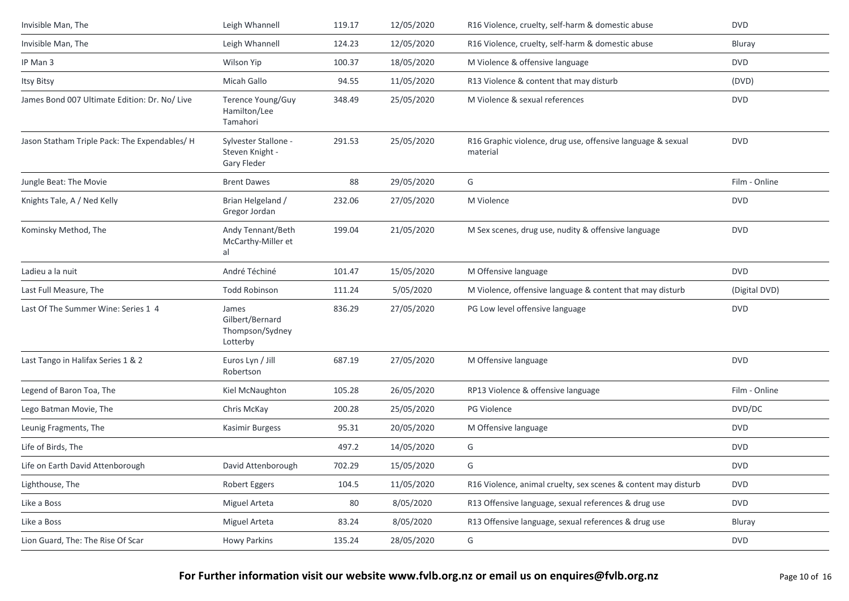| Invisible Man, The                            | Leigh Whannell                                          | 119.17 | 12/05/2020 | R16 Violence, cruelty, self-harm & domestic abuse                       | <b>DVD</b>    |
|-----------------------------------------------|---------------------------------------------------------|--------|------------|-------------------------------------------------------------------------|---------------|
| Invisible Man, The                            | Leigh Whannell                                          | 124.23 | 12/05/2020 | R16 Violence, cruelty, self-harm & domestic abuse                       | Bluray        |
| IP Man 3                                      | <b>Wilson Yip</b>                                       | 100.37 | 18/05/2020 | M Violence & offensive language                                         | <b>DVD</b>    |
| Itsy Bitsy                                    | Micah Gallo                                             | 94.55  | 11/05/2020 | R13 Violence & content that may disturb                                 | (DVD)         |
| James Bond 007 Ultimate Edition: Dr. No/ Live | Terence Young/Guy<br>Hamilton/Lee<br>Tamahori           | 348.49 | 25/05/2020 | M Violence & sexual references                                          | <b>DVD</b>    |
| Jason Statham Triple Pack: The Expendables/ H | Sylvester Stallone -<br>Steven Knight -<br>Gary Fleder  | 291.53 | 25/05/2020 | R16 Graphic violence, drug use, offensive language & sexual<br>material | <b>DVD</b>    |
| Jungle Beat: The Movie                        | <b>Brent Dawes</b>                                      | 88     | 29/05/2020 | G                                                                       | Film - Online |
| Knights Tale, A / Ned Kelly                   | Brian Helgeland /<br>Gregor Jordan                      | 232.06 | 27/05/2020 | M Violence                                                              | <b>DVD</b>    |
| Kominsky Method, The                          | Andy Tennant/Beth<br>McCarthy-Miller et<br>al           | 199.04 | 21/05/2020 | M Sex scenes, drug use, nudity & offensive language                     | <b>DVD</b>    |
| Ladieu a la nuit                              | André Téchiné                                           | 101.47 | 15/05/2020 | M Offensive language                                                    | <b>DVD</b>    |
| Last Full Measure, The                        | <b>Todd Robinson</b>                                    | 111.24 | 5/05/2020  | M Violence, offensive language & content that may disturb               | (Digital DVD) |
| Last Of The Summer Wine: Series 1 4           | James<br>Gilbert/Bernard<br>Thompson/Sydney<br>Lotterby | 836.29 | 27/05/2020 | PG Low level offensive language                                         | <b>DVD</b>    |
| Last Tango in Halifax Series 1 & 2            | Euros Lyn / Jill<br>Robertson                           | 687.19 | 27/05/2020 | M Offensive language                                                    | <b>DVD</b>    |
| Legend of Baron Toa, The                      | Kiel McNaughton                                         | 105.28 | 26/05/2020 | RP13 Violence & offensive language                                      | Film - Online |
| Lego Batman Movie, The                        | Chris McKay                                             | 200.28 | 25/05/2020 | <b>PG Violence</b>                                                      | DVD/DC        |
| Leunig Fragments, The                         | Kasimir Burgess                                         | 95.31  | 20/05/2020 | M Offensive language                                                    | <b>DVD</b>    |
| Life of Birds, The                            |                                                         | 497.2  | 14/05/2020 | G                                                                       | <b>DVD</b>    |
| Life on Earth David Attenborough              | David Attenborough                                      | 702.29 | 15/05/2020 | G                                                                       | <b>DVD</b>    |
| Lighthouse, The                               | Robert Eggers                                           | 104.5  | 11/05/2020 | R16 Violence, animal cruelty, sex scenes & content may disturb          | <b>DVD</b>    |
| Like a Boss                                   | Miguel Arteta                                           | $80\,$ | 8/05/2020  | R13 Offensive language, sexual references & drug use                    | <b>DVD</b>    |
| Like a Boss                                   | Miguel Arteta                                           | 83.24  | 8/05/2020  | R13 Offensive language, sexual references & drug use                    | Bluray        |
| Lion Guard, The: The Rise Of Scar             | Howy Parkins                                            | 135.24 | 28/05/2020 | G                                                                       | <b>DVD</b>    |
|                                               |                                                         |        |            |                                                                         |               |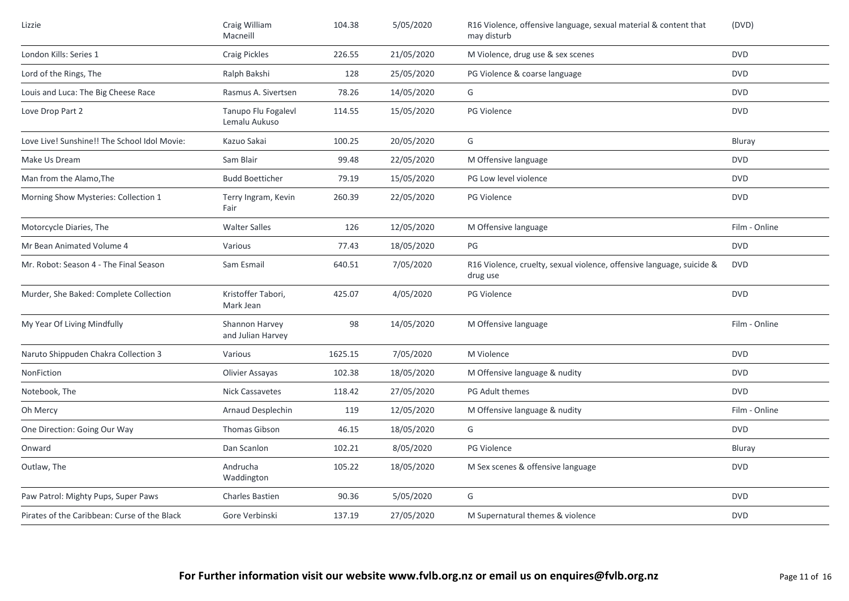| Lizzie                                       | Craig William<br>Macneill            | 104.38  | 5/05/2020  | R16 Violence, offensive language, sexual material & content that<br>may disturb   | (DVD)         |
|----------------------------------------------|--------------------------------------|---------|------------|-----------------------------------------------------------------------------------|---------------|
| London Kills: Series 1                       | <b>Craig Pickles</b>                 | 226.55  | 21/05/2020 | M Violence, drug use & sex scenes                                                 | <b>DVD</b>    |
| Lord of the Rings, The                       | Ralph Bakshi                         | 128     | 25/05/2020 | PG Violence & coarse language                                                     | <b>DVD</b>    |
| Louis and Luca: The Big Cheese Race          | Rasmus A. Sivertsen                  | 78.26   | 14/05/2020 | G                                                                                 | <b>DVD</b>    |
| Love Drop Part 2                             | Tanupo Flu Fogalevl<br>Lemalu Aukuso | 114.55  | 15/05/2020 | PG Violence                                                                       | <b>DVD</b>    |
| Love Live! Sunshine!! The School Idol Movie: | Kazuo Sakai                          | 100.25  | 20/05/2020 | G                                                                                 | Bluray        |
| Make Us Dream                                | Sam Blair                            | 99.48   | 22/05/2020 | M Offensive language                                                              | <b>DVD</b>    |
| Man from the Alamo, The                      | <b>Budd Boetticher</b>               | 79.19   | 15/05/2020 | PG Low level violence                                                             | <b>DVD</b>    |
| Morning Show Mysteries: Collection 1         | Terry Ingram, Kevin<br>Fair          | 260.39  | 22/05/2020 | PG Violence                                                                       | <b>DVD</b>    |
| Motorcycle Diaries, The                      | <b>Walter Salles</b>                 | 126     | 12/05/2020 | M Offensive language                                                              | Film - Online |
| Mr Bean Animated Volume 4                    | Various                              | 77.43   | 18/05/2020 | PG                                                                                | <b>DVD</b>    |
| Mr. Robot: Season 4 - The Final Season       | Sam Esmail                           | 640.51  | 7/05/2020  | R16 Violence, cruelty, sexual violence, offensive language, suicide &<br>drug use | <b>DVD</b>    |
| Murder, She Baked: Complete Collection       | Kristoffer Tabori,<br>Mark Jean      | 425.07  | 4/05/2020  | PG Violence                                                                       | <b>DVD</b>    |
| My Year Of Living Mindfully                  | Shannon Harvey<br>and Julian Harvey  | 98      | 14/05/2020 | M Offensive language                                                              | Film - Online |
| Naruto Shippuden Chakra Collection 3         | Various                              | 1625.15 | 7/05/2020  | M Violence                                                                        | <b>DVD</b>    |
| NonFiction                                   | Olivier Assayas                      | 102.38  | 18/05/2020 | M Offensive language & nudity                                                     | <b>DVD</b>    |
| Notebook, The                                | <b>Nick Cassavetes</b>               | 118.42  | 27/05/2020 | PG Adult themes                                                                   | <b>DVD</b>    |
| Oh Mercy                                     | Arnaud Desplechin                    | 119     | 12/05/2020 | M Offensive language & nudity                                                     | Film - Online |
| One Direction: Going Our Way                 | Thomas Gibson                        | 46.15   | 18/05/2020 | G                                                                                 | <b>DVD</b>    |
| Onward                                       | Dan Scanlon                          | 102.21  | 8/05/2020  | <b>PG Violence</b>                                                                | Bluray        |
| Outlaw, The                                  | Andrucha<br>Waddington               | 105.22  | 18/05/2020 | M Sex scenes & offensive language                                                 | <b>DVD</b>    |
| Paw Patrol: Mighty Pups, Super Paws          | <b>Charles Bastien</b>               | 90.36   | 5/05/2020  | G                                                                                 | <b>DVD</b>    |
| Pirates of the Caribbean: Curse of the Black | Gore Verbinski                       | 137.19  | 27/05/2020 | M Supernatural themes & violence                                                  | <b>DVD</b>    |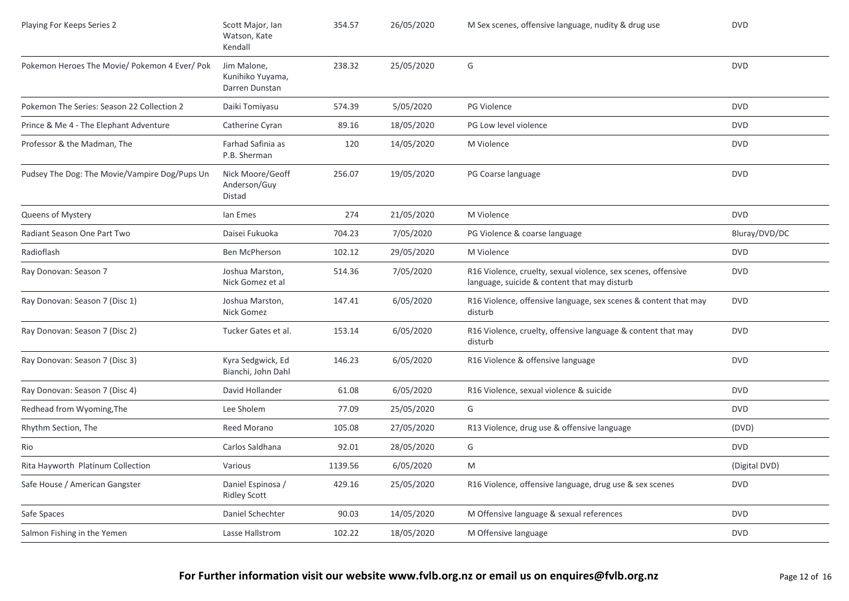| Playing For Keeps Series 2                    | Scott Major, Ian<br>Watson, Kate<br>Kendall       | 354.57  | 26/05/2020 | M Sex scenes, offensive language, nudity & drug use                                                           | <b>DVD</b>    |
|-----------------------------------------------|---------------------------------------------------|---------|------------|---------------------------------------------------------------------------------------------------------------|---------------|
| Pokemon Heroes The Movie/ Pokemon 4 Ever/ Pok | Jim Malone,<br>Kunihiko Yuyama,<br>Darren Dunstan | 238.32  | 25/05/2020 | G                                                                                                             | <b>DVD</b>    |
| Pokemon The Series: Season 22 Collection 2    | Daiki Tomiyasu                                    | 574.39  | 5/05/2020  | PG Violence                                                                                                   | <b>DVD</b>    |
| Prince & Me 4 - The Elephant Adventure        | Catherine Cyran                                   | 89.16   | 18/05/2020 | PG Low level violence                                                                                         | <b>DVD</b>    |
| Professor & the Madman, The                   | Farhad Safinia as<br>P.B. Sherman                 | 120     | 14/05/2020 | M Violence                                                                                                    | <b>DVD</b>    |
| Pudsey The Dog: The Movie/Vampire Dog/Pups Un | Nick Moore/Geoff<br>Anderson/Guy<br>Distad        | 256.07  | 19/05/2020 | PG Coarse language                                                                                            | <b>DVD</b>    |
| Queens of Mystery                             | lan Emes                                          | 274     | 21/05/2020 | M Violence                                                                                                    | <b>DVD</b>    |
| Radiant Season One Part Two                   | Daisei Fukuoka                                    | 704.23  | 7/05/2020  | PG Violence & coarse language                                                                                 | Bluray/DVD/DC |
| Radioflash                                    | <b>Ben McPherson</b>                              | 102.12  | 29/05/2020 | M Violence                                                                                                    | <b>DVD</b>    |
| Ray Donovan: Season 7                         | Joshua Marston,<br>Nick Gomez et al               | 514.36  | 7/05/2020  | R16 Violence, cruelty, sexual violence, sex scenes, offensive<br>language, suicide & content that may disturb | <b>DVD</b>    |
| Ray Donovan: Season 7 (Disc 1)                | Joshua Marston,<br>Nick Gomez                     | 147.41  | 6/05/2020  | R16 Violence, offensive language, sex scenes & content that may<br>disturb                                    | <b>DVD</b>    |
| Ray Donovan: Season 7 (Disc 2)                | Tucker Gates et al.                               | 153.14  | 6/05/2020  | R16 Violence, cruelty, offensive language & content that may<br>disturb                                       | <b>DVD</b>    |
| Ray Donovan: Season 7 (Disc 3)                | Kyra Sedgwick, Ed<br>Bianchi, John Dahl           | 146.23  | 6/05/2020  | R16 Violence & offensive language                                                                             | <b>DVD</b>    |
| Ray Donovan: Season 7 (Disc 4)                | David Hollander                                   | 61.08   | 6/05/2020  | R16 Violence, sexual violence & suicide                                                                       | <b>DVD</b>    |
| Redhead from Wyoming, The                     | Lee Sholem                                        | 77.09   | 25/05/2020 | G                                                                                                             | <b>DVD</b>    |
| Rhythm Section, The                           | Reed Morano                                       | 105.08  | 27/05/2020 | R13 Violence, drug use & offensive language                                                                   | (DVD)         |
| Rio                                           | Carlos Saldhana                                   | 92.01   | 28/05/2020 | G                                                                                                             | <b>DVD</b>    |
| Rita Hayworth Platinum Collection             | Various                                           | 1139.56 | 6/05/2020  | M                                                                                                             | (Digital DVD) |
| Safe House / American Gangster                | Daniel Espinosa /<br><b>Ridley Scott</b>          | 429.16  | 25/05/2020 | R16 Violence, offensive language, drug use & sex scenes                                                       | <b>DVD</b>    |
| Safe Spaces                                   | Daniel Schechter                                  | 90.03   | 14/05/2020 | M Offensive language & sexual references                                                                      | <b>DVD</b>    |
| Salmon Fishing in the Yemen                   | Lasse Hallstrom                                   | 102.22  | 18/05/2020 | M Offensive language                                                                                          | <b>DVD</b>    |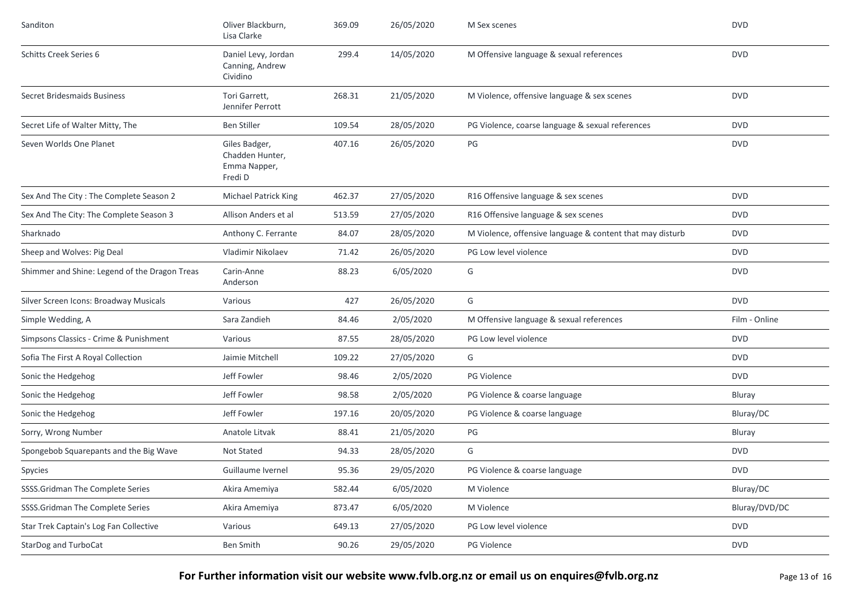| Sanditon                                      | Oliver Blackburn,<br>Lisa Clarke                            | 369.09 | 26/05/2020 | M Sex scenes                                              | <b>DVD</b>    |
|-----------------------------------------------|-------------------------------------------------------------|--------|------------|-----------------------------------------------------------|---------------|
| <b>Schitts Creek Series 6</b>                 | Daniel Levy, Jordan<br>Canning, Andrew<br>Cividino          | 299.4  | 14/05/2020 | M Offensive language & sexual references                  | <b>DVD</b>    |
| <b>Secret Bridesmaids Business</b>            | Tori Garrett,<br>Jennifer Perrott                           | 268.31 | 21/05/2020 | M Violence, offensive language & sex scenes               | <b>DVD</b>    |
| Secret Life of Walter Mitty, The              | <b>Ben Stiller</b>                                          | 109.54 | 28/05/2020 | PG Violence, coarse language & sexual references          | <b>DVD</b>    |
| Seven Worlds One Planet                       | Giles Badger,<br>Chadden Hunter,<br>Emma Napper,<br>Fredi D | 407.16 | 26/05/2020 | $PG$                                                      | <b>DVD</b>    |
| Sex And The City: The Complete Season 2       | Michael Patrick King                                        | 462.37 | 27/05/2020 | R16 Offensive language & sex scenes                       | <b>DVD</b>    |
| Sex And The City: The Complete Season 3       | Allison Anders et al                                        | 513.59 | 27/05/2020 | R16 Offensive language & sex scenes                       | <b>DVD</b>    |
| Sharknado                                     | Anthony C. Ferrante                                         | 84.07  | 28/05/2020 | M Violence, offensive language & content that may disturb | <b>DVD</b>    |
| Sheep and Wolves: Pig Deal                    | Vladimir Nikolaev                                           | 71.42  | 26/05/2020 | PG Low level violence                                     | <b>DVD</b>    |
| Shimmer and Shine: Legend of the Dragon Treas | Carin-Anne<br>Anderson                                      | 88.23  | 6/05/2020  | G                                                         | <b>DVD</b>    |
| Silver Screen Icons: Broadway Musicals        | Various                                                     | 427    | 26/05/2020 | G                                                         | <b>DVD</b>    |
| Simple Wedding, A                             | Sara Zandieh                                                | 84.46  | 2/05/2020  | M Offensive language & sexual references                  | Film - Online |
| Simpsons Classics - Crime & Punishment        | Various                                                     | 87.55  | 28/05/2020 | PG Low level violence                                     | <b>DVD</b>    |
| Sofia The First A Royal Collection            | Jaimie Mitchell                                             | 109.22 | 27/05/2020 | G                                                         | <b>DVD</b>    |
| Sonic the Hedgehog                            | Jeff Fowler                                                 | 98.46  | 2/05/2020  | <b>PG Violence</b>                                        | <b>DVD</b>    |
| Sonic the Hedgehog                            | Jeff Fowler                                                 | 98.58  | 2/05/2020  | PG Violence & coarse language                             | Bluray        |
| Sonic the Hedgehog                            | Jeff Fowler                                                 | 197.16 | 20/05/2020 | PG Violence & coarse language                             | Bluray/DC     |
| Sorry, Wrong Number                           | Anatole Litvak                                              | 88.41  | 21/05/2020 | PG                                                        | Bluray        |
| Spongebob Squarepants and the Big Wave        | Not Stated                                                  | 94.33  | 28/05/2020 | G                                                         | <b>DVD</b>    |
| Spycies                                       | Guillaume Ivernel                                           | 95.36  | 29/05/2020 | PG Violence & coarse language                             | DVD           |
| SSSS.Gridman The Complete Series              | Akira Amemiya                                               | 582.44 | 6/05/2020  | M Violence                                                | Bluray/DC     |
| SSSS.Gridman The Complete Series              | Akira Amemiya                                               | 873.47 | 6/05/2020  | M Violence                                                | Bluray/DVD/DC |
| Star Trek Captain's Log Fan Collective        | Various                                                     | 649.13 | 27/05/2020 | PG Low level violence                                     | <b>DVD</b>    |
| StarDog and TurboCat                          | <b>Ben Smith</b>                                            | 90.26  | 29/05/2020 | PG Violence                                               | <b>DVD</b>    |

## **For Further information visit our website www.fvlb.org.nz or email us on enquires@fvlb.org.nz** Page 13 of 16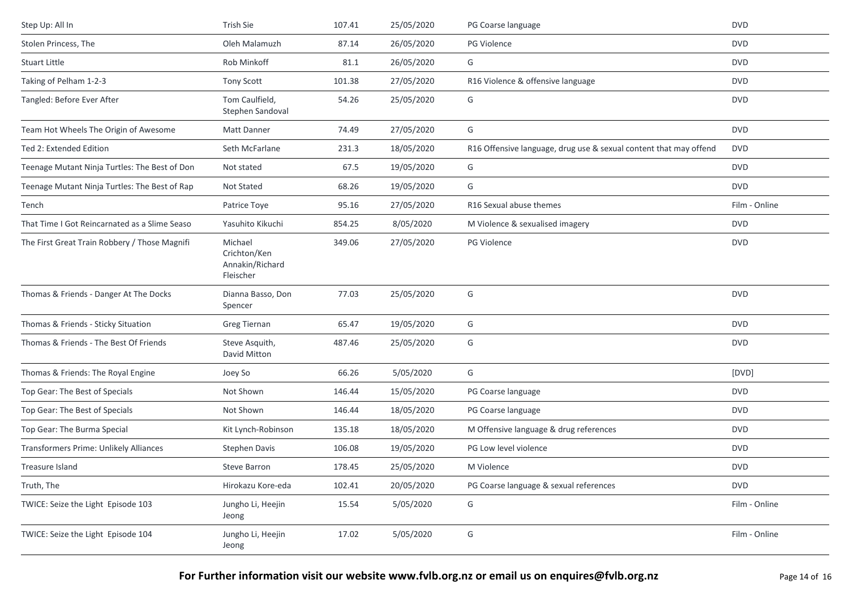| Step Up: All In                               | <b>Trish Sie</b>                                        | 107.41 | 25/05/2020 | PG Coarse language                                                | <b>DVD</b>    |
|-----------------------------------------------|---------------------------------------------------------|--------|------------|-------------------------------------------------------------------|---------------|
| Stolen Princess, The                          | Oleh Malamuzh                                           | 87.14  | 26/05/2020 | PG Violence                                                       | <b>DVD</b>    |
| Stuart Little                                 | Rob Minkoff                                             | 81.1   | 26/05/2020 | G                                                                 | <b>DVD</b>    |
| Taking of Pelham 1-2-3                        | Tony Scott                                              | 101.38 | 27/05/2020 | R16 Violence & offensive language                                 | <b>DVD</b>    |
| Tangled: Before Ever After                    | Tom Caulfield,<br>Stephen Sandoval                      | 54.26  | 25/05/2020 | G                                                                 | <b>DVD</b>    |
| Team Hot Wheels The Origin of Awesome         | Matt Danner                                             | 74.49  | 27/05/2020 | G                                                                 | <b>DVD</b>    |
| Ted 2: Extended Edition                       | Seth McFarlane                                          | 231.3  | 18/05/2020 | R16 Offensive language, drug use & sexual content that may offend | <b>DVD</b>    |
| Teenage Mutant Ninja Turtles: The Best of Don | Not stated                                              | 67.5   | 19/05/2020 | G                                                                 | <b>DVD</b>    |
| Teenage Mutant Ninja Turtles: The Best of Rap | Not Stated                                              | 68.26  | 19/05/2020 | G                                                                 | <b>DVD</b>    |
| Tench                                         | Patrice Toye                                            | 95.16  | 27/05/2020 | R16 Sexual abuse themes                                           | Film - Online |
| That Time I Got Reincarnated as a Slime Seaso | Yasuhito Kikuchi                                        | 854.25 | 8/05/2020  | M Violence & sexualised imagery                                   | <b>DVD</b>    |
| The First Great Train Robbery / Those Magnifi | Michael<br>Crichton/Ken<br>Annakin/Richard<br>Fleischer | 349.06 | 27/05/2020 | PG Violence                                                       | <b>DVD</b>    |
| Thomas & Friends - Danger At The Docks        | Dianna Basso, Don<br>Spencer                            | 77.03  | 25/05/2020 | G                                                                 | <b>DVD</b>    |
| Thomas & Friends - Sticky Situation           | Greg Tiernan                                            | 65.47  | 19/05/2020 | G                                                                 | <b>DVD</b>    |
| Thomas & Friends - The Best Of Friends        | Steve Asquith,<br>David Mitton                          | 487.46 | 25/05/2020 | G                                                                 | <b>DVD</b>    |
| Thomas & Friends: The Royal Engine            | Joey So                                                 | 66.26  | 5/05/2020  | G                                                                 | [DVD]         |
| Top Gear: The Best of Specials                | Not Shown                                               | 146.44 | 15/05/2020 | PG Coarse language                                                | <b>DVD</b>    |
| Top Gear: The Best of Specials                | Not Shown                                               | 146.44 | 18/05/2020 | PG Coarse language                                                | <b>DVD</b>    |
| Top Gear: The Burma Special                   | Kit Lynch-Robinson                                      | 135.18 | 18/05/2020 | M Offensive language & drug references                            | <b>DVD</b>    |
| Transformers Prime: Unlikely Alliances        | <b>Stephen Davis</b>                                    | 106.08 | 19/05/2020 | PG Low level violence                                             | <b>DVD</b>    |
| Treasure Island                               | <b>Steve Barron</b>                                     | 178.45 | 25/05/2020 | M Violence                                                        | <b>DVD</b>    |
| Truth, The                                    | Hirokazu Kore-eda                                       | 102.41 | 20/05/2020 | PG Coarse language & sexual references                            | <b>DVD</b>    |
| TWICE: Seize the Light Episode 103            | Jungho Li, Heejin<br>Jeong                              | 15.54  | 5/05/2020  | G                                                                 | Film - Online |
| TWICE: Seize the Light Episode 104            | Jungho Li, Heejin<br>Jeong                              | 17.02  | 5/05/2020  | G                                                                 | Film - Online |
|                                               |                                                         |        |            |                                                                   |               |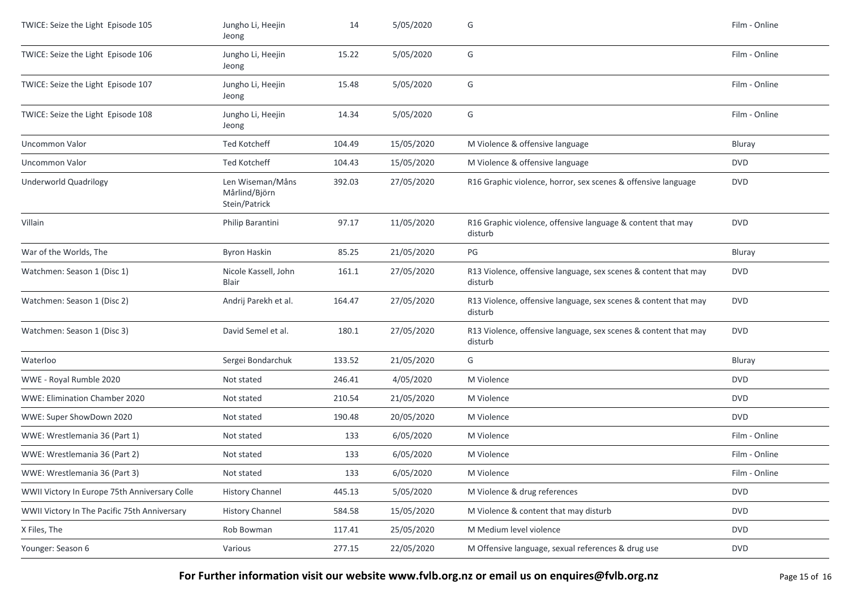| TWICE: Seize the Light Episode 105            | Jungho Li, Heejin<br>Jeong                         | 14     | 5/05/2020  | G                                                                          | Film - Online |
|-----------------------------------------------|----------------------------------------------------|--------|------------|----------------------------------------------------------------------------|---------------|
| TWICE: Seize the Light Episode 106            | Jungho Li, Heejin<br>Jeong                         | 15.22  | 5/05/2020  | G                                                                          | Film - Online |
| TWICE: Seize the Light Episode 107            | Jungho Li, Heejin<br>Jeong                         | 15.48  | 5/05/2020  | G                                                                          | Film - Online |
| TWICE: Seize the Light Episode 108            | Jungho Li, Heejin<br>Jeong                         | 14.34  | 5/05/2020  | G                                                                          | Film - Online |
| Uncommon Valor                                | Ted Kotcheff                                       | 104.49 | 15/05/2020 | M Violence & offensive language                                            | Bluray        |
| Uncommon Valor                                | Ted Kotcheff                                       | 104.43 | 15/05/2020 | M Violence & offensive language                                            | <b>DVD</b>    |
| <b>Underworld Quadrilogy</b>                  | Len Wiseman/Måns<br>Mårlind/Björn<br>Stein/Patrick | 392.03 | 27/05/2020 | R16 Graphic violence, horror, sex scenes & offensive language              | <b>DVD</b>    |
| Villain                                       | Philip Barantini                                   | 97.17  | 11/05/2020 | R16 Graphic violence, offensive language & content that may<br>disturb     | <b>DVD</b>    |
| War of the Worlds, The                        | <b>Byron Haskin</b>                                | 85.25  | 21/05/2020 | PG                                                                         | Bluray        |
| Watchmen: Season 1 (Disc 1)                   | Nicole Kassell, John<br>Blair                      | 161.1  | 27/05/2020 | R13 Violence, offensive language, sex scenes & content that may<br>disturb | <b>DVD</b>    |
| Watchmen: Season 1 (Disc 2)                   | Andrij Parekh et al.                               | 164.47 | 27/05/2020 | R13 Violence, offensive language, sex scenes & content that may<br>disturb | <b>DVD</b>    |
| Watchmen: Season 1 (Disc 3)                   | David Semel et al.                                 | 180.1  | 27/05/2020 | R13 Violence, offensive language, sex scenes & content that may<br>disturb | <b>DVD</b>    |
| Waterloo                                      | Sergei Bondarchuk                                  | 133.52 | 21/05/2020 | G                                                                          | Bluray        |
| WWE - Royal Rumble 2020                       | Not stated                                         | 246.41 | 4/05/2020  | M Violence                                                                 | <b>DVD</b>    |
| WWE: Elimination Chamber 2020                 | Not stated                                         | 210.54 | 21/05/2020 | M Violence                                                                 | <b>DVD</b>    |
| WWE: Super ShowDown 2020                      | Not stated                                         | 190.48 | 20/05/2020 | M Violence                                                                 | <b>DVD</b>    |
| WWE: Wrestlemania 36 (Part 1)                 | Not stated                                         | 133    | 6/05/2020  | M Violence                                                                 | Film - Online |
| WWE: Wrestlemania 36 (Part 2)                 | Not stated                                         | 133    | 6/05/2020  | M Violence                                                                 | Film - Online |
| WWE: Wrestlemania 36 (Part 3)                 | Not stated                                         | 133    | 6/05/2020  | M Violence                                                                 | Film - Online |
| WWII Victory In Europe 75th Anniversary Colle | <b>History Channel</b>                             | 445.13 | 5/05/2020  | M Violence & drug references                                               | <b>DVD</b>    |
| WWII Victory In The Pacific 75th Anniversary  | <b>History Channel</b>                             | 584.58 | 15/05/2020 | M Violence & content that may disturb                                      | <b>DVD</b>    |
| X Files, The                                  | Rob Bowman                                         | 117.41 | 25/05/2020 | M Medium level violence                                                    | <b>DVD</b>    |
| Younger: Season 6                             | Various                                            | 277.15 | 22/05/2020 | M Offensive language, sexual references & drug use                         | <b>DVD</b>    |

## **For Further information visit our website www.fvlb.org.nz or email us on enquires@fvlb.org.nz** Page 15 of 16